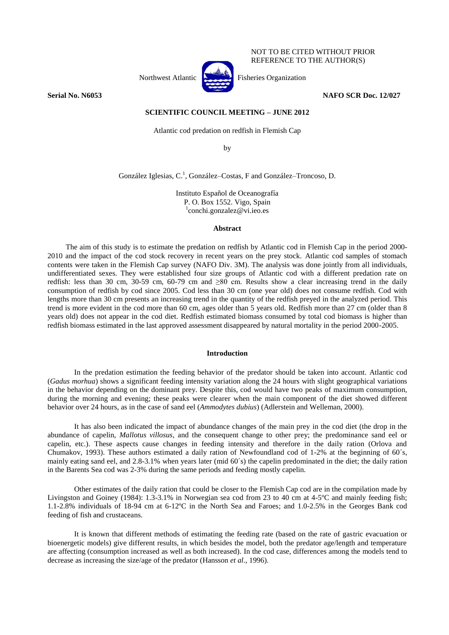Northwest Atlantic **Atlantic** Fisheries Organization

NOT TO BE CITED WITHOUT PRIOR REFERENCE TO THE AUTHOR(S)

**Serial No. N6053 NAFO SCR Doc. 12/027**

# **SCIENTIFIC COUNCIL MEETING – JUNE 2012**

Atlantic cod predation on redfish in Flemish Cap

by

González Iglesias, C.<sup>1</sup>, González–Costas, F and González–Troncoso, D.

Instituto Español de Oceanografía P. O. Box 1552. Vigo, Spain 1 conchi.gonzalez@vi.ieo.es

### **Abstract**

The aim of this study is to estimate the predation on redfish by Atlantic cod in Flemish Cap in the period 2000- 2010 and the impact of the cod stock recovery in recent years on the prey stock. Atlantic cod samples of stomach contents were taken in the Flemish Cap survey (NAFO Div. 3M). The analysis was done jointly from all individuals, undifferentiated sexes. They were established four size groups of Atlantic cod with a different predation rate on redfish: less than 30 cm, 30-59 cm, 60-79 cm and  $\geq 80$  cm. Results show a clear increasing trend in the daily consumption of redfish by cod since 2005. Cod less than 30 cm (one year old) does not consume redfish. Cod with lengths more than 30 cm presents an increasing trend in the quantity of the redfish preyed in the analyzed period. This trend is more evident in the cod more than 60 cm, ages older than 5 years old. Redfish more than 27 cm (older than 8 years old) does not appear in the cod diet. Redfish estimated biomass consumed by total cod biomass is higher than redfish biomass estimated in the last approved assessment disappeared by natural mortality in the period 2000-2005.

## **Introduction**

In the predation estimation the feeding behavior of the predator should be taken into account. Atlantic cod (*Gadus morhua*) shows a significant feeding intensity variation along the 24 hours with slight geographical variations in the behavior depending on the dominant prey. Despite this, cod would have two peaks of maximum consumption, during the morning and evening; these peaks were clearer when the main component of the diet showed different behavior over 24 hours, as in the case of sand eel (*Ammodytes dubius*) (Adlerstein and Welleman, 2000).

It has also been indicated the impact of abundance changes of the main prey in the cod diet (the drop in the abundance of capelin, *Mallotus villosus*, and the consequent change to other prey; the predominance sand eel or capelin, etc.). These aspects cause changes in feeding intensity and therefore in the daily ration (Orlova and Chumakov, 1993). These authors estimated a daily ration of Newfoundland cod of 1-2% at the beginning of 60´s, mainly eating sand eel, and 2.8-3.1% when years later (mid 60´s) the capelin predominated in the diet; the daily ration in the Barents Sea cod was 2-3% during the same periods and feeding mostly capelin.

Other estimates of the daily ration that could be closer to the Flemish Cap cod are in the compilation made by Livingston and Goiney (1984): 1.3-3.1% in Norwegian sea cod from 23 to 40 cm at 4-5<sup>o</sup>C and mainly feeding fish; 1.1-2.8% individuals of 18-94 cm at 6-12ºC in the North Sea and Faroes; and 1.0-2.5% in the Georges Bank cod feeding of fish and crustaceans.

It is known that different methods of estimating the feeding rate (based on the rate of gastric evacuation or bioenergetic models) give different results, in which besides the model, both the predator age/length and temperature are affecting (consumption increased as well as both increased). In the cod case, differences among the models tend to decrease as increasing the size/age of the predator (Hansson *et al*., 1996).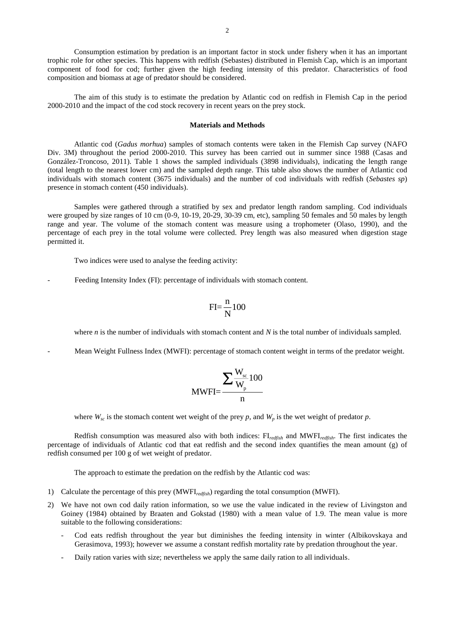Consumption estimation by predation is an important factor in stock under fishery when it has an important trophic role for other species. This happens with redfish (Sebastes) distributed in Flemish Cap, which is an important component of food for cod; further given the high feeding intensity of this predator. Characteristics of food composition and biomass at age of predator should be considered.

The aim of this study is to estimate the predation by Atlantic cod on redfish in Flemish Cap in the period 2000-2010 and the impact of the cod stock recovery in recent years on the prey stock.

#### **Materials and Methods**

Atlantic cod (*Gadus morhua*) samples of stomach contents were taken in the Flemish Cap survey (NAFO Div. 3M) throughout the period 2000-2010. This survey has been carried out in summer since 1988 (Casas and González-Troncoso, 2011). Table 1 shows the sampled individuals (3898 individuals), indicating the length range (total length to the nearest lower cm) and the sampled depth range. This table also shows the number of Atlantic cod individuals with stomach content (3675 individuals) and the number of cod individuals with redfish (*Sebastes sp*) presence in stomach content (450 individuals).

Samples were gathered through a stratified by sex and predator length random sampling. Cod individuals were grouped by size ranges of 10 cm (0-9, 10-19, 20-29, 30-39 cm, etc), sampling 50 females and 50 males by length range and year. The volume of the stomach content was measure using a trophometer (Olaso, 1990), and the percentage of each prey in the total volume were collected. Prey length was also measured when digestion stage permitted it.

Two indices were used to analyse the feeding activity:

Feeding Intensity Index (FI): percentage of individuals with stomach content.

$$
FI = \frac{n}{N}100
$$

where *n* is the number of individuals with stomach content and *N* is the total number of individuals sampled.

Mean Weight Fullness Index (MWFI): percentage of stomach content weight in terms of the predator weight.

$$
MWFI = \frac{\sum \frac{W_{sc}}{W_p} 100}{n}
$$

where  $W_{sc}$  is the stomach content wet weight of the prey *p*, and  $W_p$  is the wet weight of predator *p*.

Redfish consumption was measured also with both indices: FI*redfish* and MWFI*redfish*. The first indicates the percentage of individuals of Atlantic cod that eat redfish and the second index quantifies the mean amount (g) of redfish consumed per 100 g of wet weight of predator.

The approach to estimate the predation on the redfish by the Atlantic cod was:

- 1) Calculate the percentage of this prey (MWFI*redfish*) regarding the total consumption (MWFI).
- 2) We have not own cod daily ration information, so we use the value indicated in the review of Livingston and Goiney (1984) obtained by Braaten and Gokstad (1980) with a mean value of 1.9. The mean value is more suitable to the following considerations:
	- Cod eats redfish throughout the year but diminishes the feeding intensity in winter (Albikovskaya and Gerasimova, 1993); however we assume a constant redfish mortality rate by predation throughout the year.
	- Daily ration varies with size; nevertheless we apply the same daily ration to all individuals.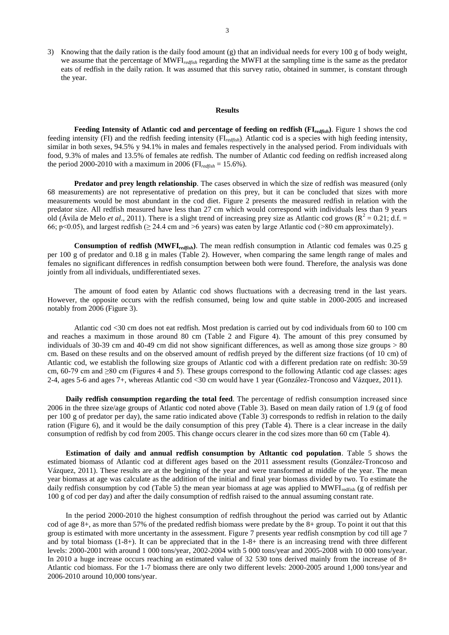3) Knowing that the daily ration is the daily food amount (g) that an individual needs for every 100 g of body weight, we assume that the percentage of MWFI*redfish* regarding the MWFI at the sampling time is the same as the predator eats of redfish in the daily ration. It was assumed that this survey ratio, obtained in summer, is constant through the year.

# **Results**

**Feeding Intensity of Atlantic cod and percentage of feeding on redfish (FI***redfish***)**. Figure 1 shows the cod feeding intensity (FI) and the redfish feeding intensity (FI*redfish*). Atlantic cod is a species with high feeding intensity, similar in both sexes, 94.5% y 94.1% in males and females respectively in the analysed period. From individuals with food, 9.3% of males and 13.5% of females ate redfish. The number of Atlantic cod feeding on redfish increased along the period 2000-2010 with a maximum in 2006 ( $FI_{\text{redfish}} = 15.6\%$ ).

**Predator and prey length relationship**. The cases observed in which the size of redfish was measured (only 68 measurements) are not representative of predation on this prey, but it can be concluded that sizes with more measurements would be most abundant in the cod diet. Figure 2 presents the measured redfish in relation with the predator size. All redfish measured have less than 27 cm which would correspond with individuals less than 9 years old (Ávila de Melo *et al.*, 2011). There is a slight trend of increasing prey size as Atlantic cod grows ( $R^2 = 0.21$ ; d.f. = 66; p<0.05), and largest redfish ( $\geq$  24.4 cm and >6 years) was eaten by large Atlantic cod (>80 cm approximately).

**Consumption of redfish (MWFI***redfish***)**. The mean redfish consumption in Atlantic cod females was 0.25 g per 100 g of predator and 0.18 g in males (Table 2). However, when comparing the same length range of males and females no significant differences in redfish consumption between both were found. Therefore, the analysis was done jointly from all individuals, undifferentiated sexes.

The amount of food eaten by Atlantic cod shows fluctuations with a decreasing trend in the last years. However, the opposite occurs with the redfish consumed, being low and quite stable in 2000-2005 and increased notably from 2006 (Figure 3).

Atlantic cod <30 cm does not eat redfish. Most predation is carried out by cod individuals from 60 to 100 cm and reaches a maximum in those around 80 cm (Table 2 and Figure 4). The amount of this prey consumed by individuals of 30-39 cm and 40-49 cm did not show significant differences, as well as among those size groups > 80 cm. Based on these results and on the observed amount of redfish preyed by the different size fractions (of 10 cm) of Atlantic cod, we establish the following size groups of Atlantic cod with a different predation rate on redfish: 30-59 cm, 60-79 cm and ≥80 cm (Figures 4 and 5). These groups correspond to the following Atlantic cod age classes: ages 2-4, ages 5-6 and ages 7+, whereas Atlantic cod <30 cm would have 1 year (González-Troncoso and Vázquez, 2011).

**Daily redfish consumption regarding the total feed**. The percentage of redfish consumption increased since 2006 in the three size/age groups of Atlantic cod noted above (Table 3). Based on mean daily ration of 1.9 (g of food per 100 g of predator per day), the same ratio indicated above (Table 3) corresponds to redfish in relation to the daily ration (Figure 6), and it would be the daily consumption of this prey (Table 4). There is a clear increase in the daily consumption of redfish by cod from 2005. This change occurs clearer in the cod sizes more than 60 cm (Table 4).

**Estimation of daily and annual redfish consumption by Atltantic cod population**. Table 5 shows the estimated biomass of Atlantic cod at different ages based on the 2011 assessment results (González-Troncoso and Vázquez, 2011). These results are at the begining of the year and were transformed at middle of the year. The mean year biomass at age was calculate as the addition of the initial and final year biomass divided by two. To estimate the daily redfish consumption by cod (Table 5) the mean year biomass at age was applied to MWFI<sub>redfish</sub> (g of redfish per 100 g of cod per day) and after the daily consumption of redfish raised to the annual assuming constant rate.

In the period 2000-2010 the highest consumption of redfish throughout the period was carried out by Atlantic cod of age 8+, as more than 57% of the predated redfish biomass were predate by the 8+ group. To point it out that this group is estimated with more uncertanty in the assessment. Figure 7 presents year redfish consmption by cod till age 7 and by total biomass  $(1-8+)$ . It can be appreciated that in the  $1-8+$  there is an increasing trend with three different levels: 2000-2001 with around 1 000 tons/year, 2002-2004 with 5 000 tons/year and 2005-2008 with 10 000 tons/year. In 2010 a huge increase occurs reaching an estimated value of 32 530 tons derived mainly from the increase of 8+ Atlantic cod biomass. For the 1-7 biomass there are only two different levels: 2000-2005 around 1,000 tons/year and 2006-2010 around 10,000 tons/year.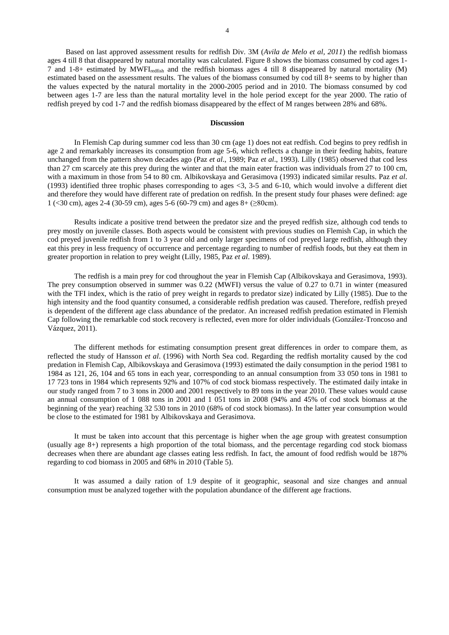Based on last approved assessment results for redfish Div. 3M (*Avila de Melo et al, 2011*) the redfish biomass ages 4 till 8 that disappeared by natural mortality was calculated. Figure 8 shows the biomass consumed by cod ages 1- 7 and 1-8+ estimated by MWFIredfish and the redfish biomass ages 4 till 8 disappeared by natural mortality (M) estimated based on the assessment results. The values of the biomass consumed by cod till 8+ seems to by higher than the values expected by the natural mortality in the 2000-2005 period and in 2010. The biomass consumed by cod between ages 1-7 are less than the natural mortality level in the hole period except for the year 2000. The ratio of redfish preyed by cod 1-7 and the redfish biomass disappeared by the effect of M ranges between 28% and 68%.

# **Discussion**

In Flemish Cap during summer cod less than 30 cm (age 1) does not eat redfish. Cod begins to prey redfish in age 2 and remarkably increases its consumption from age 5-6, which reflects a change in their feeding habits, feature unchanged from the pattern shown decades ago (Paz *et al*., 1989; Paz *et al*., 1993). Lilly (1985) observed that cod less than 27 cm scarcely ate this prey during the winter and that the main eater fraction was individuals from 27 to 100 cm, with a maximum in those from 54 to 80 cm. Albikovskaya and Gerasimova (1993) indicated similar results. Paz *et al*. (1993) identified three trophic phases corresponding to ages  $\langle 3, 3-5 \rangle$  and 6-10, which would involve a different diet and therefore they would have different rate of predation on redfish. In the present study four phases were defined: age 1 (<30 cm), ages 2-4 (30-59 cm), ages 5-6 (60-79 cm) and ages 8+ (≥80cm).

Results indicate a positive trend between the predator size and the preyed redfish size, although cod tends to prey mostly on juvenile classes. Both aspects would be consistent with previous studies on Flemish Cap, in which the cod preyed juvenile redfish from 1 to 3 year old and only larger specimens of cod preyed large redfish, although they eat this prey in less frequency of occurrence and percentage regarding to number of redfish foods, but they eat them in greater proportion in relation to prey weight (Lilly, 1985, Paz *et al*. 1989).

The redfish is a main prey for cod throughout the year in Flemish Cap (Albikovskaya and Gerasimova, 1993). The prey consumption observed in summer was 0.22 (MWFI) versus the value of 0.27 to 0.71 in winter (measured with the TFI index, which is the ratio of prey weight in regards to predator size) indicated by Lilly (1985). Due to the high intensity and the food quantity consumed, a considerable redfish predation was caused. Therefore, redfish preyed is dependent of the different age class abundance of the predator. An increased redfish predation estimated in Flemish Cap following the remarkable cod stock recovery is reflected, even more for older individuals (González-Troncoso and Vázquez, 2011).

The different methods for estimating consumption present great differences in order to compare them, as reflected the study of Hansson *et al*. (1996) with North Sea cod. Regarding the redfish mortality caused by the cod predation in Flemish Cap, Albikovskaya and Gerasimova (1993) estimated the daily consumption in the period 1981 to 1984 as 121, 26, 104 and 65 tons in each year, corresponding to an annual consumption from 33 050 tons in 1981 to 17 723 tons in 1984 which represents 92% and 107% of cod stock biomass respectively. The estimated daily intake in our study ranged from 7 to 3 tons in 2000 and 2001 respectively to 89 tons in the year 2010. These values would cause an annual consumption of 1 088 tons in 2001 and 1 051 tons in 2008 (94% and 45% of cod stock biomass at the beginning of the year) reaching 32 530 tons in 2010 (68% of cod stock biomass). In the latter year consumption would be close to the estimated for 1981 by Albikovskaya and Gerasimova.

It must be taken into account that this percentage is higher when the age group with greatest consumption (usually age 8+) represents a high proportion of the total biomass, and the percentage regarding cod stock biomass decreases when there are abundant age classes eating less redfish. In fact, the amount of food redfish would be 187% regarding to cod biomass in 2005 and 68% in 2010 (Table 5).

It was assumed a daily ration of 1.9 despite of it geographic, seasonal and size changes and annual consumption must be analyzed together with the population abundance of the different age fractions.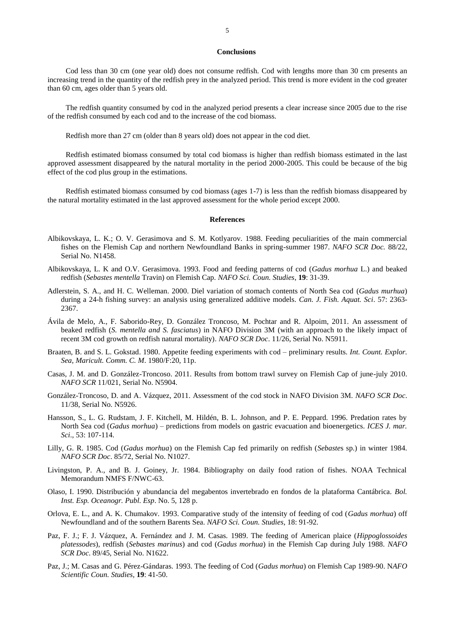### **Conclusions**

Cod less than 30 cm (one year old) does not consume redfish. Cod with lengths more than 30 cm presents an increasing trend in the quantity of the redfish prey in the analyzed period. This trend is more evident in the cod greater than 60 cm, ages older than 5 years old.

The redfish quantity consumed by cod in the analyzed period presents a clear increase since 2005 due to the rise of the redfish consumed by each cod and to the increase of the cod biomass.

Redfish more than 27 cm (older than 8 years old) does not appear in the cod diet.

Redfish estimated biomass consumed by total cod biomass is higher than redfish biomass estimated in the last approved assessment disappeared by the natural mortality in the period 2000-2005. This could be because of the big effect of the cod plus group in the estimations.

Redfish estimated biomass consumed by cod biomass (ages 1-7) is less than the redfish biomass disappeared by the natural mortality estimated in the last approved assessment for the whole period except 2000.

#### **References**

- Albikovskaya, L. K.; O. V. Gerasimova and S. M. Kotlyarov. 1988. Feeding peculiarities of the main commercial fishes on the Flemish Cap and northern Newfoundland Banks in spring-summer 1987. *NAFO SCR Doc.* 88/22, Serial No. N1458.
- Albikovskaya, L. K and O.V. Gerasimova. 1993. Food and feeding patterns of cod (*Gadus morhua* L.) and beaked redfish (*Sebastes mentella* Travin) on Flemish Cap. *NAFO Sci. Coun. Studies*, **19**: 31-39.
- Adlerstein, S. A., and H. C. Welleman. 2000. Diel variation of stomach contents of North Sea cod (*Gadus murhua*) during a 24-h fishing survey: an analysis using generalized additive models. *Can. J. Fish. Aquat. Sci*. 57: 2363- 2367.
- Ávila de Melo, A., F. Saborido-Rey, D. González Troncoso, M. Pochtar and R. Alpoim, 2011. An assessment of beaked redfish (*S. mentella and S. fasciatus*) in NAFO Division 3M (with an approach to the likely impact of recent 3M cod growth on redfish natural mortality). *NAFO SCR Doc*. 11/26, Serial No. N5911.
- Braaten, B. and S. L. Gokstad. 1980. Appetite feeding experiments with cod preliminary results. *Int. Count. Explor. Sea, Maricult. Comm. C. M*. 1980/F:20, 11p.
- Casas, J. M. and D. González-Troncoso. 2011. Results from bottom trawl survey on Flemish Cap of june-july 2010. *NAFO SCR* 11/021, Serial No. N5904.
- González-Troncoso, D. and A. Vázquez, 2011. Assessment of the cod stock in NAFO Division 3M. *NAFO SCR Doc*. 11/38, Serial No. N5926.
- Hansson, S., L. G. Rudstam, J. F. Kitchell, M. Hildén, B. L. Johnson, and P. E. Peppard. 1996. Predation rates by North Sea cod (*Gadus morhua*) – predictions from models on gastric evacuation and bioenergetics. *ICES J. mar. Sci*., 53: 107-114.
- Lilly, G. R. 1985. Cod (*Gadus morhua*) on the Flemish Cap fed primarily on redfish (*Sebaste*s sp.) in winter 1984. *NAFO SCR Doc*. 85/72, Serial No. N1027.
- Livingston, P. A., and B. J. Goiney, Jr. 1984. Bibliography on daily food ration of fishes. NOAA Technical Memorandum NMFS F/NWC-63.
- Olaso, I. 1990. Distribución y abundancia del megabentos invertebrado en fondos de la plataforma Cantábrica. *Bol. Inst. Esp. Oceanogr. Publ. Esp*. No. 5, 128 p.
- Orlova, E. L., and A. K. Chumakov. 1993. Comparative study of the intensity of feeding of cod (*Gadus morhua*) off Newfoundland and of the southern Barents Sea. *NAFO Sci. Coun. Studies*, 18: 91-92.
- Paz, F. J.; F. J. Vázquez, A. Fernández and J. M. Casas. 1989. The feeding of American plaice (*Hippoglossoides platessodes*), redfish (*Sebastes marinus*) and cod (*Gadus morhua*) in the Flemish Cap during July 1988. *NAFO SCR Doc*. 89/45, Serial No. N1622.
- Paz, J.; M. Casas and G. Pérez-Gándaras. 1993. The feeding of Cod (*Gadus morhua*) on Flemish Cap 1989-90. N*AFO Scientific Coun. Studies,* **19**: 41-50.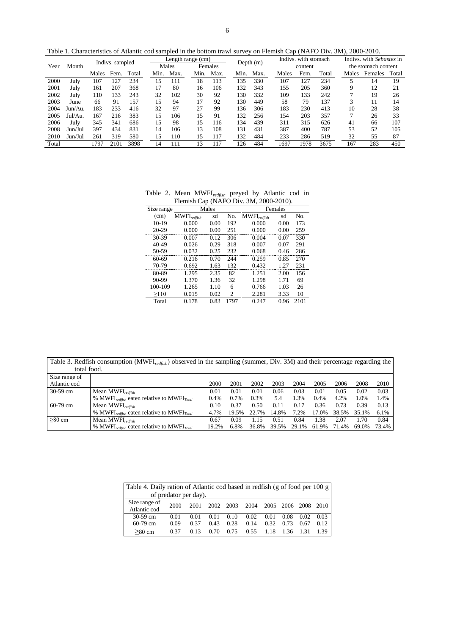Table 1. Characteristics of Atlantic cod sampled in the bottom trawl survey on Flemish Cap (NAFO Div. 3M), 2000-2010.

| Year  | Month   | Indivs. sampled |      |       | Length range (cm)<br>Females |      |      |      | Depth $(m)$ |      | Indivs, with stomach |      |       | Indivs. with Sebastes in<br>the stomach content |         |       |
|-------|---------|-----------------|------|-------|------------------------------|------|------|------|-------------|------|----------------------|------|-------|-------------------------------------------------|---------|-------|
|       |         |                 |      | Males |                              |      |      |      |             |      | content              |      |       |                                                 |         |       |
|       |         | Males           | Fem. | Total | Min.                         | Max. | Min. | Max. | Min.        | Max. | Males                | Fem. | Total | Males                                           | Females | Total |
| 2000  | July    | 107             | 127  | 234   | l5                           | 111  | 18   | 113  | 135         | 330  | 107                  | 127  | 234   |                                                 | 14      | 19    |
| 2001  | July    | 161             | 207  | 368   | 17                           | 80   | 16   | 106  | 132         | 343  | 155                  | 205  | 360   | 9                                               | 12      | 21    |
| 2002  | July    | 110             | 133  | 243   | 32                           | 102  | 30   | 92   | 130         | 332  | 109                  | 133  | 242   |                                                 | 19      | 26    |
| 2003  | June    | 66              | 91   | 157   | 15                           | 94   | 17   | 92   | 130         | 449  | 58                   | 79   | 137   | 3                                               | 11      | 14    |
| 2004  | Jun/Au. | 183             | 233  | 416   | 32                           | 97   | 27   | 99   | 136         | 306  | 183                  | 230  | 413   | 10                                              | 28      | 38    |
| 2005  | Jul/Au. | 167             | 216  | 383   | 15                           | 106  | 15   | 91   | 132         | 256  | 154                  | 203  | 357   |                                                 | 26      | 33    |
| 2006  | July    | 345             | 341  | 686   | 15                           | 98   | 15   | 116  | 134         | 439  | 311                  | 315  | 626   | 41                                              | 66      | 107   |
| 2008  | Jun/Jul | 397             | 434  | 831   | 14                           | 106  | 13   | 108  | 131         | 431  | 387                  | 400  | 787   | 53                                              | 52      | 105   |
| 2010  | Jun/Jul | 261             | 319  | 580   | 15                           | 110  | 15   | 117  | 132         | 484  | 233                  | 286  | 519   | 32                                              | 55      | 87    |
| Total |         | 1797            | 2101 | 3898  | 14                           | 111  | l3   | 117  | 126         | 484  | 1697                 | 1978 | 3675  | 167                                             | 283     | 450   |

Table 2. Mean MWFI*redfish* preyed by Atlantic cod in Flemish Cap (NAFO Div. 3M, 2000-2010).

| Size range |                                      | Males |                     | Females |      |      |
|------------|--------------------------------------|-------|---------------------|---------|------|------|
| (cm)       | $MWFI_{\text{redfish}}$<br>No.<br>sd |       | <b>MWFI</b> redfish | sd      | No.  |      |
| $10-19$    | 0.000                                | 0.00  | 192                 | 0.000   | 0.00 | 173  |
| $20 - 29$  | 0.000                                | 0.00  | 251                 | 0.000   | 0.00 | 259  |
| 30-39      | 0.007                                | 0.12  | 306                 | 0.004   | 0.07 | 330  |
| 40-49      | 0.026                                | 0.29  | 318                 | 0.007   | 0.07 | 291  |
| 50-59      | 0.032                                | 0.25  | 232                 | 0.068   | 0.46 | 286  |
| 60-69      | 0.216                                | 0.70  | 244                 | 0.259   | 0.85 | 270  |
| 70-79      | 0.692                                | 1.63  | 132                 | 0.432   | 1.27 | 231  |
| 80-89      | 1.295                                | 2.35  | 82                  | 1.251   | 2.00 | 156  |
| 90-99      | 1.370                                | 1.36  | 32                  | 1.298   | 1.71 | 69   |
| 100-109    | 1.265                                | 1.10  | 6                   | 0.766   | 1.03 | 26   |
| >110       | 0.015                                | 0.02  | 2                   | 2.281   | 3.33 | 10   |
| Total      | 0.178                                | 0.83  | 1797                | 0.247   | 0.96 | 2101 |

Table 3. Redfish consumption (MWFI*redfish*) observed in the sampling (summer, Div. 3M) and their percentage regarding the total food.

| Size range of |                                                       |       |         |           |       |       |          |       |       |         |
|---------------|-------------------------------------------------------|-------|---------|-----------|-------|-------|----------|-------|-------|---------|
| Atlantic cod  |                                                       | 2000  | 2001    | 2002      | 2003  | 2004  | 2005     | 2006  | 2008  | 2010    |
| $30-59$ cm    | Mean MWFI <sub>redfish</sub>                          | 0.01  | 0.01    | 0.01      | 0.06  | 0.03  | 0.01     | 0.05  | 0.02  | 0.03    |
|               | % MWFI $_{redfish}$ eaten relative to MWFI $_{Total}$ | 0.4%  | $0.7\%$ | 0.3%      | 5.4   | .3%   | $0.4\%$  | 4.2%  | 1.0%  | 1.4%    |
| $60-79$ cm    | Mean MWFI $_{\text{redfish}}$                         | 0.10  | 0.37    | 0.50      | 0.11  | 0.17  | 0.36     | 0.73  | 0.39  | 0.13    |
|               | % MWFI $_{redfish}$ eaten relative to MWFI $_{Total}$ | 4.7%  | 19.5%   | 22.<br>7% | 14.8% | 7.2%  | $17.0\%$ | 38.5% | 35.1% | $6.1\%$ |
| $>80$ cm      | Mean MWFI <sub>redfish</sub>                          | 0.67  | 0.09    | .15       | 0.51  | 0.84  | .38      | 2.07  | l.70  | 0.84    |
|               | % MWFI $_{redfish}$ eaten relative to MWFI $_{Total}$ | 19.2% | 6.8%    | 36.8%     | 39.5% | 29.1% | 61.9%    | 71.4% | 69.0% | 73.4%   |

| Table 4. Daily ration of Atlantic cod based in redfish (g of food per 100 g) |      |      |      |      |      |      |                |      |       |
|------------------------------------------------------------------------------|------|------|------|------|------|------|----------------|------|-------|
| of predator per day).                                                        |      |      |      |      |      |      |                |      |       |
| Size range of<br>Atlantic cod                                                | 2000 | 2001 | 2002 | 2003 | 2004 |      | 2005 2006 2008 |      | 2010  |
| $30-59$ cm                                                                   | 0.01 | 0.01 | 0.01 | 0.10 | 0.02 | 0.01 | 0.08           | 0.02 | 0.03  |
| $60-79$ cm                                                                   | 0.09 | 0.37 | 0.43 | 0.28 | 0.14 | 0.32 | 0.73           | 0.67 | 0.12. |
| $>80 \text{ cm}$                                                             | 0.37 | 0.13 | 0.70 | 0.75 | 0.55 | 1.18 | 1.36           | 1.31 | 1.39  |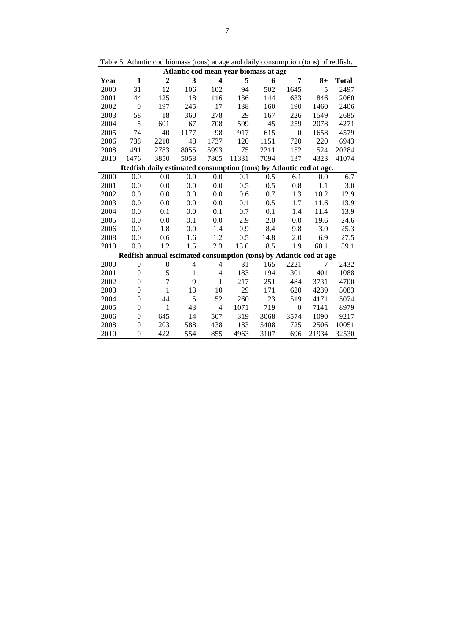| Atlantic cod mean year biomass at age |                |                                                                    |                |                         |       |      |                |       |       |  |  |  |
|---------------------------------------|----------------|--------------------------------------------------------------------|----------------|-------------------------|-------|------|----------------|-------|-------|--|--|--|
| Year                                  | 1              | $\boldsymbol{2}$                                                   | 3              | $\overline{\mathbf{4}}$ | 5     | 6    | 7              | $8+$  | Total |  |  |  |
| 2000                                  | 31             | 12                                                                 | 106            | 102                     | 94    | 502  | 1645           | 5     | 2497  |  |  |  |
| 2001                                  | 44             | 125                                                                | 18             | 116                     | 136   | 144  | 633            | 846   | 2060  |  |  |  |
| 2002                                  | $\mathbf{0}$   | 197                                                                | 245            | 17                      | 138   | 160  | 190            | 1460  | 2406  |  |  |  |
| 2003                                  | 58             | 18                                                                 | 360            | 278                     | 29    | 167  | 226            | 1549  | 2685  |  |  |  |
| 2004                                  | 5              | 601                                                                | 67             | 708                     | 509   | 45   | 259            | 2078  | 4271  |  |  |  |
| 2005                                  | 74             | 40                                                                 | 1177           | 98                      | 917   | 615  | $\theta$       | 1658  | 4579  |  |  |  |
| 2006                                  | 738            | 2210                                                               | 48             | 1737                    | 120   | 1151 | 720            | 220   | 6943  |  |  |  |
| 2008                                  | 491            | 2783                                                               | 8055           | 5993                    | 75    | 2211 | 152            | 524   | 20284 |  |  |  |
| 2010                                  | 1476           | 3850                                                               | 5058           | 7805                    | 11331 | 7094 | 137            | 4323  | 41074 |  |  |  |
|                                       |                | Redfish daily estimated consumption (tons) by Atlantic cod at age. |                |                         |       |      |                |       |       |  |  |  |
| 2000                                  | 0.0            | 0.0                                                                | 0.0            | 0.0                     | 0.1   | 0.5  | 6.1            | 0.0   | 6.7   |  |  |  |
| 2001                                  | 0.0            | 0.0                                                                | 0.0            | 0.0                     | 0.5   | 0.5  | 0.8            | 1.1   | 3.0   |  |  |  |
| 2002                                  | 0.0            | 0.0                                                                | 0.0            | 0.0                     | 0.6   | 0.7  | 1.3            | 10.2  | 12.9  |  |  |  |
| 2003                                  | 0.0            | 0.0                                                                | 0.0            | 0.0                     | 0.1   | 0.5  | 1.7            | 11.6  | 13.9  |  |  |  |
| 2004                                  | 0.0            | 0.1                                                                | 0.0            | 0.1                     | 0.7   | 0.1  | 1.4            | 11.4  | 13.9  |  |  |  |
| 2005                                  | 0.0            | 0.0                                                                | 0.1            | 0.0                     | 2.9   | 2.0  | 0.0            | 19.6  | 24.6  |  |  |  |
| 2006                                  | 0.0            | 1.8                                                                | 0.0            | 1.4                     | 0.9   | 8.4  | 9.8            | 3.0   | 25.3  |  |  |  |
| 2008                                  | 0.0            | 0.6                                                                | 1.6            | 1.2                     | 0.5   | 14.8 | 2.0            | 6.9   | 27.5  |  |  |  |
| 2010                                  | 0.0            | 1.2                                                                | 1.5            | 2.3                     | 13.6  | 8.5  | 1.9            | 60.1  | 89.1  |  |  |  |
|                                       |                | Redfish annual estimated consumption (tons) by Atlantic cod at age |                |                         |       |      |                |       |       |  |  |  |
| 2000                                  | $\theta$       | $\overline{0}$                                                     | $\overline{4}$ | $\overline{4}$          | 31    | 165  | 2221           | 7     | 2432  |  |  |  |
| 2001                                  | $\overline{0}$ | 5                                                                  | 1              | 4                       | 183   | 194  | 301            | 401   | 1088  |  |  |  |
| 2002                                  | $\theta$       | 7                                                                  | 9              | 1                       | 217   | 251  | 484            | 3731  | 4700  |  |  |  |
| 2003                                  | 0              | 1                                                                  | 13             | 10                      | 29    | 171  | 620            | 4239  | 5083  |  |  |  |
| 2004                                  | 0              | 44                                                                 | 5              | 52                      | 260   | 23   | 519            | 4171  | 5074  |  |  |  |
| 2005                                  | $\theta$       | $\mathbf{1}$                                                       | 43             | $\overline{4}$          | 1071  | 719  | $\overline{0}$ | 7141  | 8979  |  |  |  |
| 2006                                  | $\overline{0}$ | 645                                                                | 14             | 507                     | 319   | 3068 | 3574           | 1090  | 9217  |  |  |  |
| 2008                                  | $\theta$       | 203                                                                | 588            | 438                     | 183   | 5408 | 725            | 2506  | 10051 |  |  |  |
| 2010                                  | $\theta$       | 422                                                                | 554            | 855                     | 4963  | 3107 | 696            | 21934 | 32530 |  |  |  |

Table 5. Atlantic cod biomass (tons) at age and daily consumption (tons) of redfish.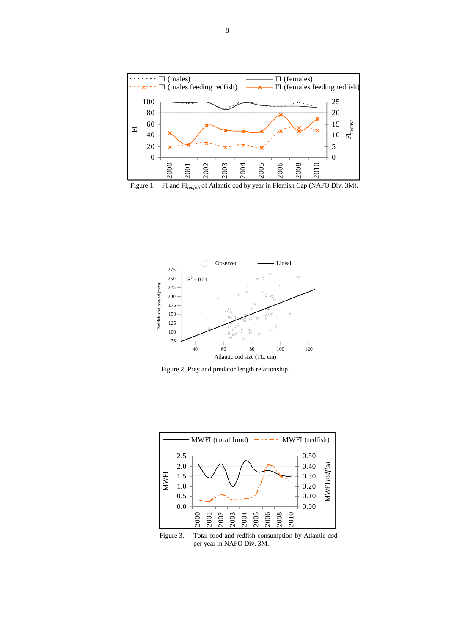





Figure 2. Prey and predator length relationship.



Figure 3. Total food and redfish consumption by Atlantic cod per year in NAFO Div. 3M.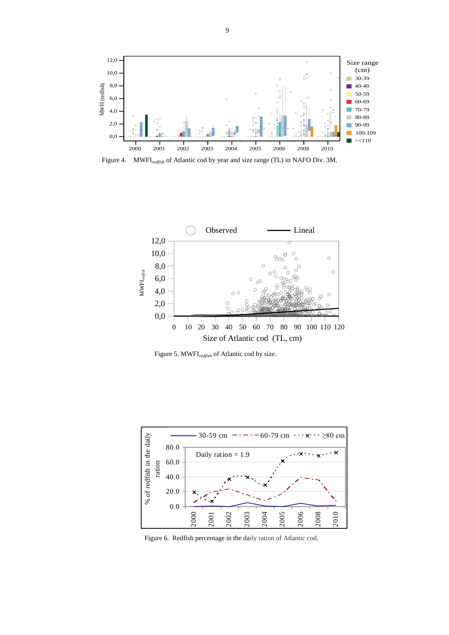

Figure 4. MWFI*redfish* of Atlantic cod by year and size range (TL) in NAFO Div. 3M.



Figure 5. MWFI*redfish* of Atlantic cod by size.



Figure 6. Redfish percentage in the daily ration of Atlantic cod.